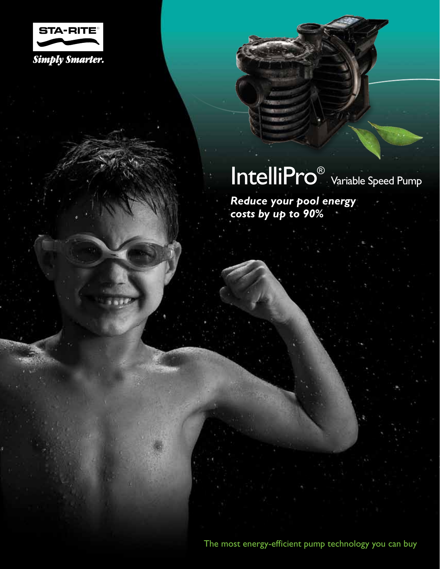

### IntelliPro<sup>®</sup> Variable Speed Pump

*Reduce your pool energy costs by up to 90%*

The most energy-efficient pump technology you can buy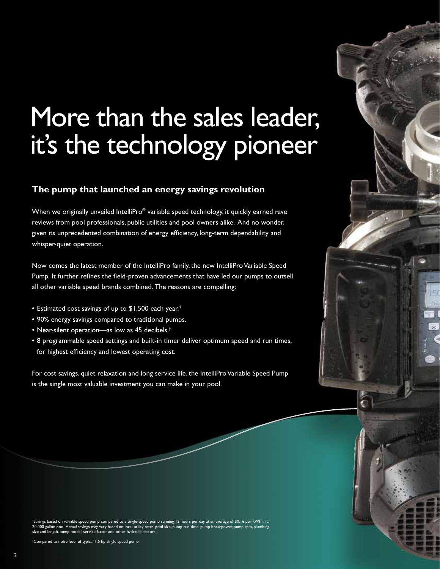### More than the sales leader, it's the technology pioneer

### **The pump that launched an energy savings revolution**

When we originally unveiled IntelliPro® variable speed technology, it quickly earned rave reviews from pool professionals, public utilities and pool owners alike. And no wonder, given its unprecedented combination of energy efficiency, long-term dependability and whisper-quiet operation.

Now comes the latest member of the IntelliPro family, the new IntelliPro Variable Speed Pump. It further refines the field-proven advancements that have led our pumps to outsell all other variable speed brands combined. The reasons are compelling:

- Estimated cost savings of up to \$1,500 each year.<sup>1</sup>
- 90% energy savings compared to traditional pumps.
- Near-silent operation—as low as 45 decibels.†
- 8 programmable speed settings and built-in timer deliver optimum speed and run times, for highest efficiency and lowest operating cost.

For cost savings, quiet relaxation and long service life, the IntelliPro Variable Speed Pump is the single most valuable investment you can make in your pool.

1 ngs based on variable speed pump compared to a single-speed pump running 12 hours per day at an average of \$0.16 per kWh in a<br>. 20,000 gallon pool. Actual savings may vary based on local utility rates, pool size, pump run time, pump horsepower, pump rpm, plumbing<br>size and length, pump model, service factor and other hydraulic factors.

† Compared to noise level of typical 1.5 hp single-speed pump.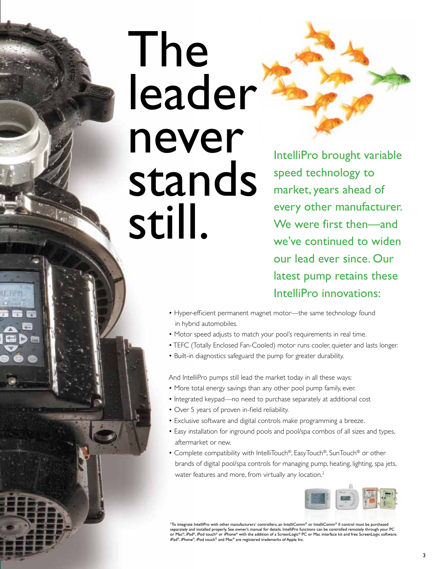## The leader never stands still.

IntelliPro brought variable speed technology to market, years ahead of every other manufacturer. We were first then—and we've continued to widen our lead ever since. Our latest pump retains these IntelliPro innovations:

- Hyper-efficient permanent magnet motor—the same technology found in hybrid automobiles.
- Motor speed adjusts to match your pool's requirements in real time.
- TEFC (Totally Enclosed Fan-Cooled) motor runs cooler, quieter and lasts longer.
- Built-in diagnostics safeguard the pump for greater durability.

And IntelliPro pumps still lead the market today in all these ways:

- More total energy savings than any other pool pump family, ever.
- Integrated keypad—no need to purchase separately at additional cost
- Over 5 years of proven in-field reliability.
- Exclusive software and digital controls make programming a breeze.
- Easy installation for inground pools and pool/spa combos of all sizes and types, aftermarket or new.
- Complete compatibility with IntelliTouch®, EasyTouch®, SunTouch® or other brands of digital pool/spa controls for managing pump, heating, lighting, spa jets, water features and more, from virtually any location.<sup>2</sup>



 $^2$ To integrate IntelliPro with other manufacturers' controllers, an IntelliComm® or IntelliComm® II control must be purchased separately and installed properly. See owner's manual for details. IntelliPro functions can be controlled remotely through your PC or Mac®, iPad®, iPod touch® or iPhone® with the addition of a ScreenLogic® PC or Mac interface kit and free ScreenLogic software.<br>iPad®, iPhone®, iPod touch® and Mac® are registered trademarks of Apple Inc.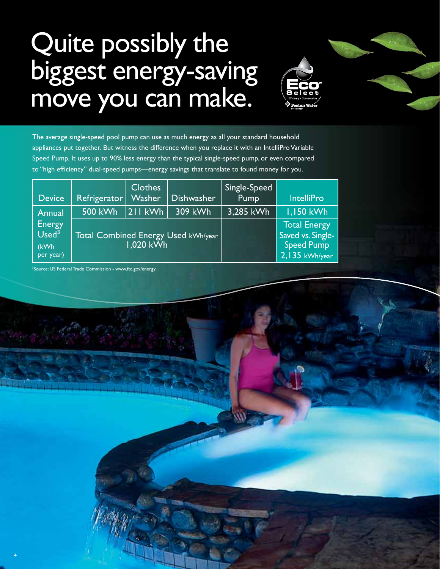### Quite possibly the biggest energy-saving move you can make.



The average single-speed pool pump can use as much energy as all your standard household appliances put together. But witness the difference when you replace it with an IntelliPro Variable Speed Pump. It uses up to 90% less energy than the typical single-speed pump, or even compared to "high efficiency" dual-speed pumps—energy savings that translate to found money for you.

| <b>Device</b>                                           | Refrigerator                                            | <b>Clothes</b><br><b>Washer</b> | Dishwasher | Single-Speed<br>Pump                                                               | <b>IntelliPro</b> |
|---------------------------------------------------------|---------------------------------------------------------|---------------------------------|------------|------------------------------------------------------------------------------------|-------------------|
| Annual                                                  | <b>500 kWh</b>                                          | $ 211$ kWh                      | 309 kWh    | 3,285 kWh                                                                          | 1,150 kWh         |
| <b>Energy</b><br>Used <sup>3</sup><br>(kWh<br>per year) | <b>Total Combined Energy Used kWh/year</b><br>1,020 kWh |                                 |            | <b>Total Energy</b><br>Saved vs. Single-<br><b>Speed Pump</b><br>$2, 135$ kWh/year |                   |

<sup>3</sup>Source: US Federal Trade Commission - www.ftc.gov/energy

4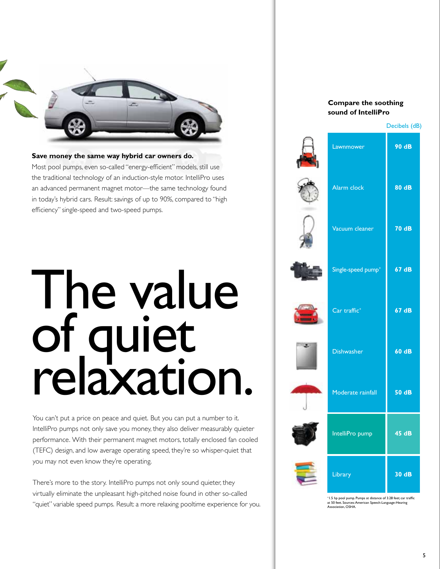

**Save money the same way hybrid car owners do.** Most pool pumps, even so-called "energy-efficient" models, still use the traditional technology of an induction-style motor. IntelliPro uses an advanced permanent magnet motor—the same technology found in today's hybrid cars. Result: savings of up to 90%, compared to "high efficiency" single-speed and two-speed pumps.

## The value of quiet relaxation.

You can't put a price on peace and quiet. But you can put a number to it. IntelliPro pumps not only save you money, they also deliver measurably quieter performance. With their permanent magnet motors, totally enclosed fan cooled (TEFC) design, and low average operating speed, they're so whisper-quiet that you may not even know they're operating.

There's more to the story. IntelliPro pumps not only sound quieter, they virtually eliminate the unpleasant high-pitched noise found in other so-called "quiet" variable speed pumps. Result: a more relaxing pooltime experience for you.

### **Compare the soothing sound of IntelliPro**

| Decibels (dB) |  |  |  |  |  |  |
|---------------|--|--|--|--|--|--|
|---------------|--|--|--|--|--|--|

|    | Lawnmower                      | 90 dB        |
|----|--------------------------------|--------------|
|    | Alarm clock                    | 80 dB        |
|    | Vacuum cleaner                 | <b>70 dB</b> |
|    | Single-speed pump <sup>+</sup> | 67 dB        |
|    | Car traffic <sup>+</sup>       | 67 dB        |
| ×. | <b>Dishwasher</b>              | 60 dB        |
|    | Moderate rainfall              | 50 dB        |
|    | IntelliPro pump                | 45 dB        |
|    | Library                        | 30 dB        |

<sup>+</sup>1.5 hp pool pump. Pumps at distance of 3.28 feet; car traffic at 50 feet. Sources: American Speech-Language-Hearing Association, OSHA.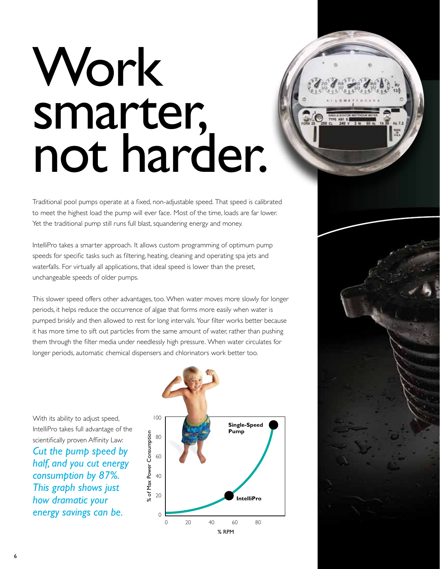# Work smarter, not harder.

Traditional pool pumps operate at a fixed, non-adjustable speed. That speed is calibrated to meet the highest load the pump will ever face. Most of the time, loads are far lower. Yet the traditional pump still runs full blast, squandering energy and money.

IntelliPro takes a smarter approach. It allows custom programming of optimum pump speeds for specific tasks such as filtering, heating, cleaning and operating spa jets and waterfalls. For virtually all applications, that ideal speed is lower than the preset, unchangeable speeds of older pumps.

This slower speed offers other advantages, too. When water moves more slowly for longer periods, it helps reduce the occurrence of algae that forms more easily when water is pumped briskly and then allowed to rest for long intervals. Your filter works better because it has more time to sift out particles from the same amount of water, rather than pushing them through the filter media under needlessly high pressure. When water circulates for longer periods, automatic chemical dispensers and chlorinators work better too.

With its ability to adjust speed, IntelliPro takes full advantage of the scientifically proven Affinity Law: *Cut the pump speed by half, and you cut energy consumption by 87%. This graph shows just how dramatic your energy savings can be.*



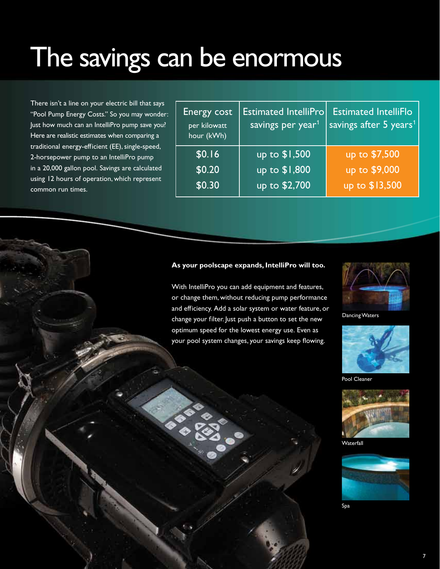### The savings can be enormous

There isn't a line on your electric bill that says "Pool Pump Energy Costs." So you may wonder: Just how much can an IntelliPro pump save you? Here are realistic estimates when comparing a traditional energy-efficient (EE), single-speed, 2-horsepower pump to an IntelliPro pump in a 20,000 gallon pool. Savings are calculated using 12 hours of operation, which represent common run times.

| Energy cost<br>per kilowatt<br>hour (kWh) | <b>Estimated IntelliPro</b><br>savings per year <sup>1</sup> | <b>Estimated IntelliFlo</b><br>savings after 5 years <sup>1</sup> |
|-------------------------------------------|--------------------------------------------------------------|-------------------------------------------------------------------|
| \$0.16                                    | up to \$1,500                                                | up to \$7,500                                                     |
| \$0.20                                    | up to \$1,800                                                | up to \$9,000                                                     |
| \$0.30                                    | up to \$2,700                                                | up to \$13,500                                                    |

#### **As your poolscape expands, IntelliPro will too.**

With IntelliPro you can add equipment and features, or change them, without reducing pump performance and efficiency. Add a solar system or water feature, or change your filter. Just push a button to set the new optimum speed for the lowest energy use. Even as your pool system changes, your savings keep flowing.



Dancing Waters



Pool Cleaner



Waterfall



Spa